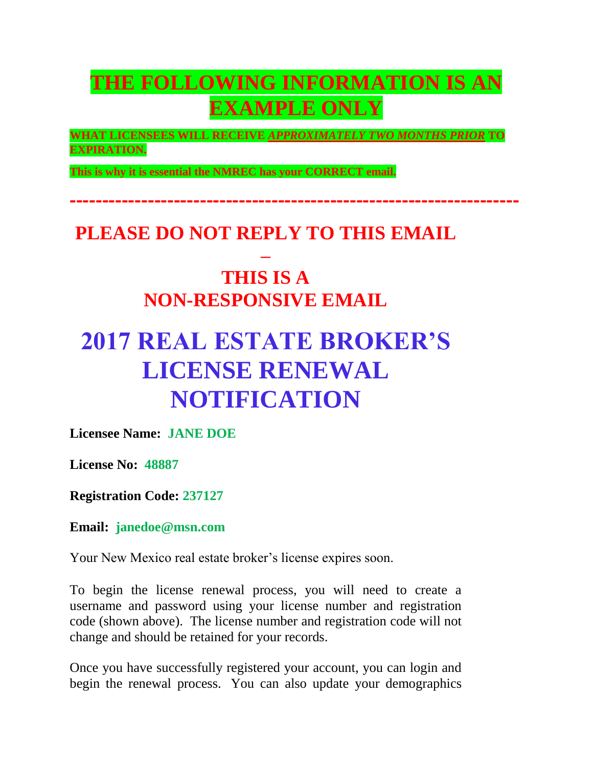## **THE FOLLOWING INFORMATION IS AN EXAMPLE ONLY**

**WHAT LICENSEES WILL RECEIVE** *APPROXIMATELY TWO MONTHS PRIOR* **TO EXPIRATION.** 

**---------------------------------------------------------------------**

**This is why it is essential the NMREC has your CORRECT email.**

## **PLEASE DO NOT REPLY TO THIS EMAIL**

## **– THIS IS A NON-RESPONSIVE EMAIL**

# **2017 REAL ESTATE BROKER'S LICENSE RENEWAL NOTIFICATION**

**Licensee Name: JANE DOE**

**License No: 48887**

**Registration Code: 237127**

**Email: janedoe@msn.com**

Your New Mexico real estate broker's license expires soon.

To begin the license renewal process, you will need to create a username and password using your license number and registration code (shown above). The license number and registration code will not change and should be retained for your records.

Once you have successfully registered your account, you can login and begin the renewal process. You can also update your demographics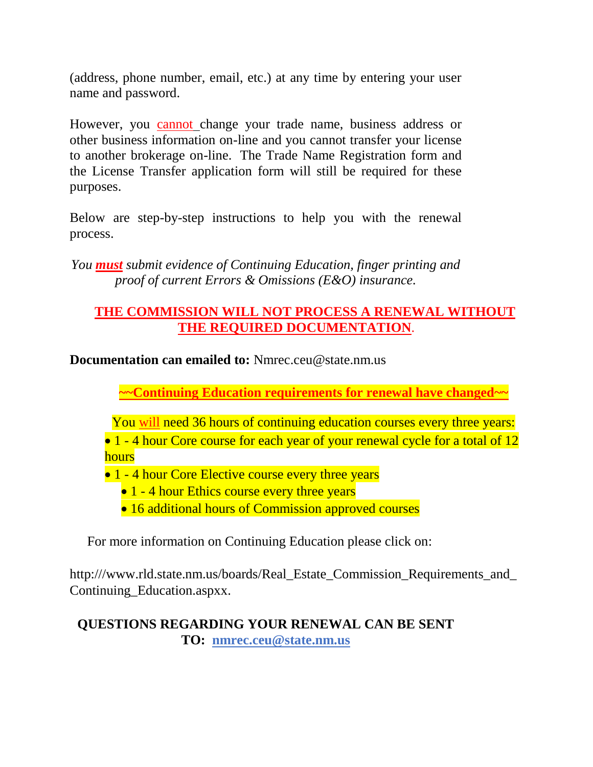(address, phone number, email, etc.) at any time by entering your user name and password.

However, you cannot change your trade name, business address or other business information on-line and you cannot transfer your license to another brokerage on-line. The Trade Name Registration form and the License Transfer application form will still be required for these purposes.

Below are step-by-step instructions to help you with the renewal process.

*You must submit evidence of Continuing Education, finger printing and proof of current Errors & Omissions (E&O) insurance.*

#### **THE COMMISSION WILL NOT PROCESS A RENEWAL WITHOUT THE REQUIRED DOCUMENTATION**.

**Documentation can emailed to:** Nmrec.ceu@state.nm.us

**~~Continuing Education requirements for renewal have changed~~**

You will need 36 hours of continuing education courses every three years:

• 1 - 4 hour Core course for each year of your renewal cycle for a total of 12 hours

- 1 4 hour Core Elective course every three years
	- 1 4 hour Ethics course every three years
	- 16 additional hours of Commission approved courses

For more information on Continuing Education please click on:

http:///www.rld.state.nm.us/boards/Real\_Estate\_Commission\_Requirements\_and Continuing\_Education.aspxx.

#### **QUESTIONS REGARDING YOUR RENEWAL CAN BE SENT TO: nmrec.ceu@state.nm.us**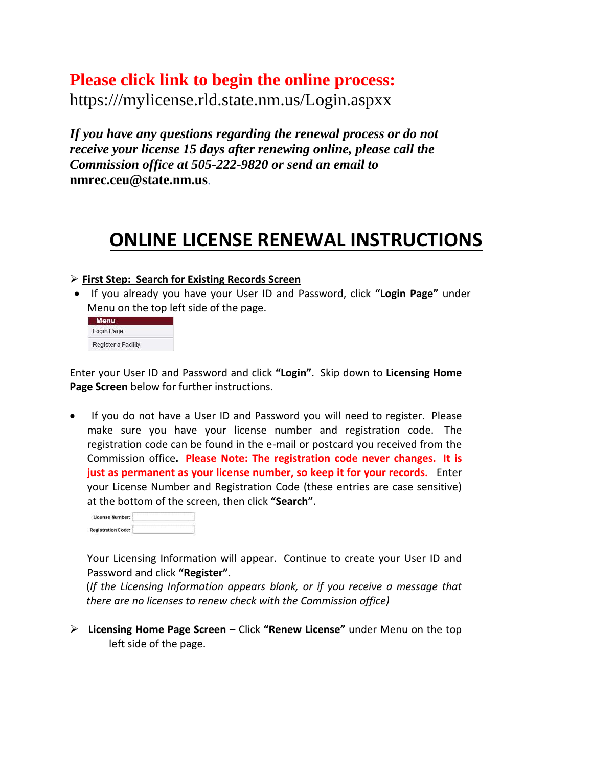### **Please click link to begin the online process:**

https:///mylicense.rld.state.nm.us/Login.aspxx

*If you have any questions regarding the renewal process or do not receive your license 15 days after renewing online, please call the Commission office at 505-222-9820 or send an email to*  **nmrec.ceu@state.nm.us**.

## **ONLINE LICENSE RENEWAL INSTRUCTIONS**

#### **First Step: Search for Existing Records Screen**

 If you already you have your User ID and Password, click **"Login Page"** under Menu on the top left side of the page.

| Menu                |  |
|---------------------|--|
| Login Page          |  |
| Register a Facility |  |

Enter your User ID and Password and click **"Login"**. Skip down to **Licensing Home Page Screen** below for further instructions.

 If you do not have a User ID and Password you will need to register. Please make sure you have your license number and registration code. The registration code can be found in the e-mail or postcard you received from the Commission office**. Please Note: The registration code never changes. It is just as permanent as your license number, so keep it for your records.** Enter your License Number and Registration Code (these entries are case sensitive) at the bottom of the screen, then click **"Search"**.

| License Number:           |  |
|---------------------------|--|
| <b>Registration Code:</b> |  |

Your Licensing Information will appear. Continue to create your User ID and Password and click **"Register"**.

(*If the Licensing Information appears blank, or if you receive a message that there are no licenses to renew check with the Commission office)*

 **Licensing Home Page Screen** – Click **"Renew License"** under Menu on the top left side of the page.